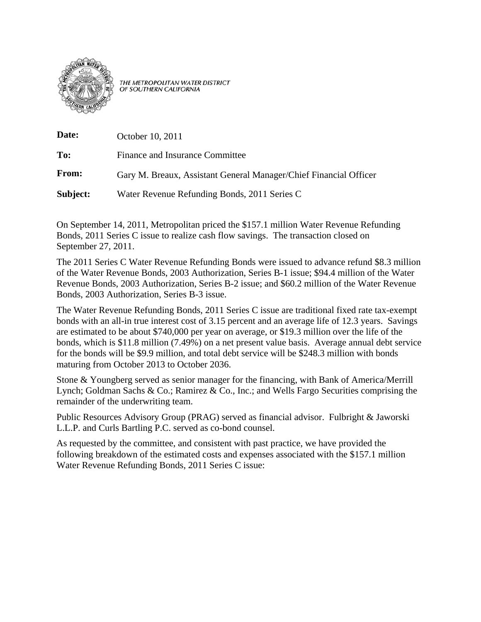

THE METROPOLITAN WATER DISTRICT OF SOUTHERN CALIFORNIA

| Date:    | October 10, 2011                                                  |
|----------|-------------------------------------------------------------------|
| To:      | Finance and Insurance Committee                                   |
| From:    | Gary M. Breaux, Assistant General Manager/Chief Financial Officer |
| Subject: | Water Revenue Refunding Bonds, 2011 Series C                      |

On September 14, 2011, Metropolitan priced the \$157.1 million Water Revenue Refunding Bonds, 2011 Series C issue to realize cash flow savings. The transaction closed on September 27, 2011.

The 2011 Series C Water Revenue Refunding Bonds were issued to advance refund \$8.3 million of the Water Revenue Bonds, 2003 Authorization, Series B-1 issue; \$94.4 million of the Water Revenue Bonds, 2003 Authorization, Series B-2 issue; and \$60.2 million of the Water Revenue Bonds, 2003 Authorization, Series B-3 issue.

The Water Revenue Refunding Bonds, 2011 Series C issue are traditional fixed rate tax-exempt bonds with an all-in true interest cost of 3.15 percent and an average life of 12.3 years. Savings are estimated to be about \$740,000 per year on average, or \$19.3 million over the life of the bonds, which is \$11.8 million (7.49%) on a net present value basis. Average annual debt service for the bonds will be \$9.9 million, and total debt service will be \$248.3 million with bonds maturing from October 2013 to October 2036.

Stone & Youngberg served as senior manager for the financing, with Bank of America/Merrill Lynch; Goldman Sachs & Co.; Ramirez & Co., Inc.; and Wells Fargo Securities comprising the remainder of the underwriting team.

Public Resources Advisory Group (PRAG) served as financial advisor. Fulbright & Jaworski L.L.P. and Curls Bartling P.C. served as co-bond counsel.

As requested by the committee, and consistent with past practice, we have provided the following breakdown of the estimated costs and expenses associated with the \$157.1 million Water Revenue Refunding Bonds, 2011 Series C issue: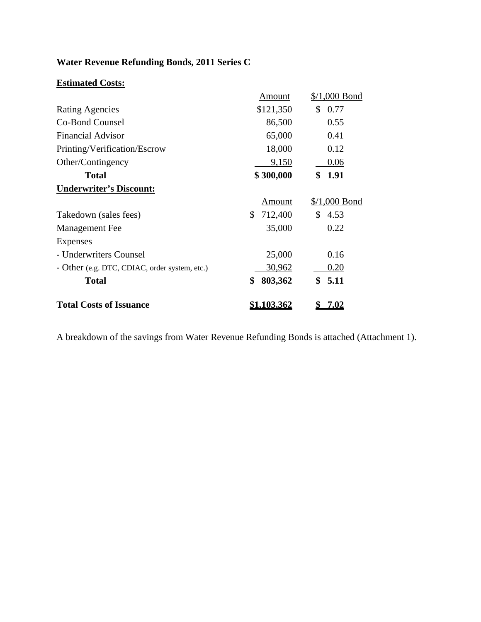## **Water Revenue Refunding Bonds, 2011 Series C**

## **Estimated Costs:**

|                                               | Amount             | $\frac{$}{1,000}$ Bond |
|-----------------------------------------------|--------------------|------------------------|
| <b>Rating Agencies</b>                        | \$121,350          | \$<br>0.77             |
| Co-Bond Counsel                               | 86,500             | 0.55                   |
| <b>Financial Advisor</b>                      | 65,000             | 0.41                   |
| Printing/Verification/Escrow                  | 18,000             | 0.12                   |
| Other/Contingency                             | 9,150              | 0.06                   |
| <b>Total</b>                                  | \$300,000          | 1.91<br>\$             |
| <b>Underwriter's Discount:</b>                |                    |                        |
|                                               | Amount             | $\frac{$}{1,000}$ Bond |
| Takedown (sales fees)                         | \$<br>712,400      | $\mathbb{S}$<br>4.53   |
| Management Fee                                | 35,000             | 0.22                   |
| Expenses                                      |                    |                        |
| - Underwriters Counsel                        | 25,000             | 0.16                   |
| - Other (e.g. DTC, CDIAC, order system, etc.) | 30,962             | 0.20                   |
| <b>Total</b>                                  | \$<br>803,362      | \$5.11                 |
| <b>Total Costs of Issuance</b>                | <u>\$1,103,362</u> | <u>7.02</u>            |

A breakdown of the savings from Water Revenue Refunding Bonds is attached (Attachment 1).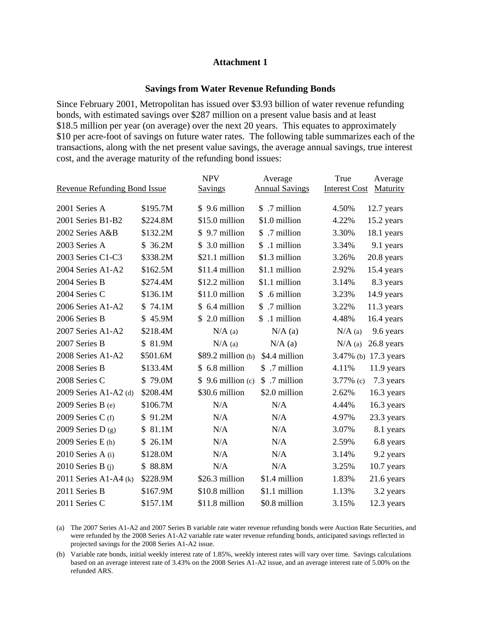## **Attachment 1**

## **Savings from Water Revenue Refunding Bonds**

Since February 2001, Metropolitan has issued over \$3.93 billion of water revenue refunding bonds, with estimated savings over \$287 million on a present value basis and at least \$18.5 million per year (on average) over the next 20 years. This equates to approximately \$10 per acre-foot of savings on future water rates. The following table summarizes each of the transactions, along with the net present value savings, the average annual savings, true interest cost, and the average maturity of the refunding bond issues:

|                                     |          | <b>NPV</b>              | Average               | True                 | Average         |
|-------------------------------------|----------|-------------------------|-----------------------|----------------------|-----------------|
| <b>Revenue Refunding Bond Issue</b> |          | <b>Savings</b>          | <b>Annual Savings</b> | <b>Interest Cost</b> | <b>Maturity</b> |
|                                     |          |                         |                       |                      |                 |
| 2001 Series A                       | \$195.7M | \$9.6 million           | \$ .7 million         | 4.50%                | 12.7 years      |
| 2001 Series B1-B2                   | \$224.8M | \$15.0 million          | \$1.0 million         | 4.22%                | 15.2 years      |
| 2002 Series A&B                     | \$132.2M | \$9.7 million           | \$ .7 million         | 3.30%                | 18.1 years      |
| 2003 Series A                       | \$36.2M  | $$3.0$ million          | .1 million<br>\$      | 3.34%                | 9.1 years       |
| 2003 Series C1-C3                   | \$338.2M | \$21.1 million          | \$1.3 million         | 3.26%                | 20.8 years      |
| 2004 Series A1-A2                   | \$162.5M | \$11.4 million          | \$1.1 million         | 2.92%                | 15.4 years      |
| 2004 Series B                       | \$274.4M | \$12.2 million          | \$1.1 million         | 3.14%                | 8.3 years       |
| 2004 Series C                       | \$136.1M | \$11.0 million          | .6 million<br>\$      | 3.23%                | 14.9 years      |
| 2006 Series A1-A2                   | \$74.1M  | \$ 6.4 million          | .7 million<br>\$      | 3.22%                | $11.3$ years    |
| 2006 Series B                       | \$45.9M  | \$2.0 million           | .1 million<br>\$      | 4.48%                | 16.4 years      |
| $2007$ Series A1-A2                 | \$218.4M | $N/A$ (a)               | $N/A$ (a)             | $N/A$ (a)            | 9.6 years       |
| 2007 Series B                       | \$81.9M  | $N/A$ (a)               | $N/A$ (a)             | $N/A$ (a)            | 26.8 years      |
| 2008 Series A1-A2                   | \$501.6M | $$89.2$ million (b)     | \$4.4 million         | $3.47\%$ (b)         | 17.3 years      |
| 2008 Series B                       | \$133.4M | \$ 6.8 million          | \$ .7 million         | 4.11%                | 11.9 years      |
| 2008 Series C                       | \$79.0M  | $9.6$ million (c)<br>S. | \$ .7 million         | 3.77% $(c)$          | 7.3 years       |
| 2009 Series A1-A2 (d)               | \$208.4M | \$30.6 million          | \$2.0 million         | 2.62%                | 16.3 years      |
| 2009 Series B $(e)$                 | \$106.7M | N/A                     | N/A                   | 4.44%                | 16.3 years      |
| 2009 Series C $(f)$                 | \$91.2M  | N/A                     | N/A                   | 4.97%                | 23.3 years      |
| 2009 Series D $(g)$                 | \$81.1M  | N/A                     | N/A                   | 3.07%                | 8.1 years       |
| $2009$ Series E (h)                 | \$26.1M  | N/A                     | N/A                   | 2.59%                | 6.8 years       |
| $2010$ Series A (i)                 | \$128.0M | N/A                     | N/A                   | 3.14%                | 9.2 years       |
| 2010 Series B $(i)$                 | \$88.8M  | N/A                     | N/A                   | 3.25%                | 10.7 years      |
| 2011 Series A1-A4 $(k)$             | \$228.9M | \$26.3 million          | \$1.4 million         | 1.83%                | 21.6 years      |
| 2011 Series B                       | \$167.9M | \$10.8 million          | \$1.1 million         | 1.13%                | 3.2 years       |
| 2011 Series C                       | \$157.1M | \$11.8 million          | \$0.8 million         | 3.15%                | $12.3$ years    |

(a) The 2007 Series A1-A2 and 2007 Series B variable rate water revenue refunding bonds were Auction Rate Securities, and were refunded by the 2008 Series A1-A2 variable rate water revenue refunding bonds, anticipated savings reflected in projected savings for the 2008 Series A1-A2 issue.

(b) Variable rate bonds, initial weekly interest rate of 1.85%, weekly interest rates will vary over time. Savings calculations based on an average interest rate of 3.43% on the 2008 Series A1-A2 issue, and an average interest rate of 5.00% on the refunded ARS.